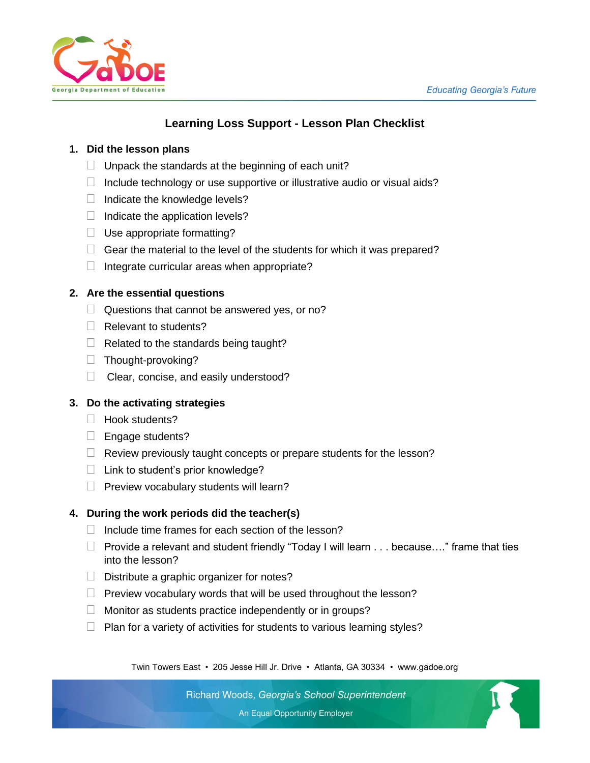

# **Learning Loss Support - Lesson Plan Checklist**

#### **1. Did the lesson plans**

- $\Box$  Unpack the standards at the beginning of each unit?
- $\Box$  Include technology or use supportive or illustrative audio or visual aids?
- $\Box$  Indicate the knowledge levels?
- $\Box$  Indicate the application levels?
- $\Box$  Use appropriate formatting?
- $\Box$  Gear the material to the level of the students for which it was prepared?
- $\Box$  Integrate curricular areas when appropriate?

## **2. Are the essential questions**

- $\Box$  Questions that cannot be answered yes, or no?
- $\Box$  Relevant to students?
- $\Box$  Related to the standards being taught?
- $\Box$  Thought-provoking?
- $\Box$  Clear, concise, and easily understood?

# **3. Do the activating strategies**

- $\Box$  Hook students?
- $\Box$  Engage students?
- $\Box$  Review previously taught concepts or prepare students for the lesson?
- $\Box$  Link to student's prior knowledge?
- $\Box$  Preview vocabulary students will learn?

# **4. During the work periods did the teacher(s)**

- $\Box$  Include time frames for each section of the lesson?
- $\Box$  Provide a relevant and student friendly "Today I will learn  $\dots$  because...." frame that ties into the lesson?
- $\Box$  Distribute a graphic organizer for notes?
- $\Box$  Preview vocabulary words that will be used throughout the lesson?
- $\Box$  Monitor as students practice independently or in groups?
- $\Box$  Plan for a variety of activities for students to various learning styles?

Twin Towers East • 205 Jesse Hill Jr. Drive • Atlanta, GA 30334 • www.gadoe.org

Richard Woods, Georgia's School Superintendent An Equal Opportunity Employer